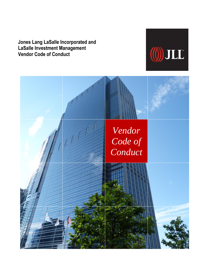**Jones Lang LaSalle Incorporated and LaSalle Investment Management Vendor Code of Conduct**



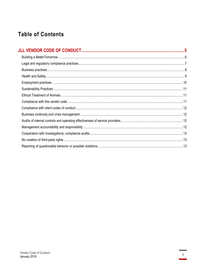## **Table of Contents**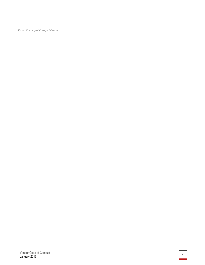*Photo: Courtesy of Carolyn Edwards*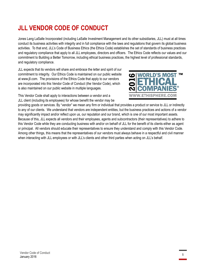## <span id="page-4-0"></span>**JLL VENDOR CODE OF CONDUCT**

Jones Lang LaSalle Incorporated (including LaSalle Investment Management and its other subsidiaries, JLL) must at all times conduct its business activities with integrity and in full compliance with the laws and regulations that govern its global business activities. To that end, JLL's Code of Business Ethics (the Ethics Code) establishes the set of standards of business practices and regulatory compliance that apply to all JLL employees, directors and officers. The Ethics Code reflects our values and our commitment t[o Building a Better Tomorrow,](http://www.jll.com/sustainability/) including ethical business practices, the highest level of professional standards, and regulatory compliance.

JLL expects that its vendors will share and embrace the letter and spirit of our commitment to integrity. Our Ethics Code is maintained on our public website at [www.jll.com.](http://www.jll.com/) The provisions of the Ethics Code that apply to our vendors are incorporated into this Vendor Code of Conduct (the Vendor Code), which is also maintained on our public website in multiple languages.



This Vendor Code shall apply to interactions between a vendor and a JLL client (including its employees) for whose benefit the vendor may be

<span id="page-4-1"></span>providing goods or services. By "vendor" we mean any firm or individual that provides a product or service to JLL or indirectly to any of our clients. We understand that vendors are independent entities, but the business practices and actions of a vendor may significantly impact and/or reflect upon us, our reputation and our brand, which is one of our most important assets. Because of this, JLL expects all vendors and their employees, agents and subcontractors (their representatives) to adhere to this Vendor Code while they are conducting business with and/or on behalf of JLL for the benefit of its clients either as agent or principal. All vendors should educate their representatives to ensure they understand and comply with this Vendor Code. Among other things, this means that the representatives of our vendors must always behave in a respectful and civil manner when interacting with JLL employees or with JLL's clients and other third parties when acting on JLL's behalf.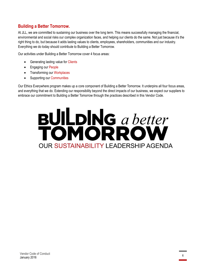#### **Building a Better Tomorrow.**

At JLL, we are committed to sustaining our business over the long term. This means successfully managing the financial, environmental and social risks our complex organization faces, and helping our clients do the same. Not just because it's the right thing to do, but because it adds lasting values to clients, employees, shareholders, communities and our industry. Everything we do today should contribute to Building a Better Tomorrow.

Our activities under Building a Better Tomorrow cover 4 focus areas:

- Generating lasting value for Clients
- Engaging our People
- Transforming our Workplaces
- Supporting our Communities

Our Ethics Everywhere program makes up a core component of Building a Better Tomorrow. It underpins all four focus areas, and everything that we do. Extending our responsibility beyond the direct impacts of our business, we expect our suppliers to embrace our commitment to Building a Better Tomorrow through the practices described in this Vendor Code.

# **BULDING** a better **OUR SUSTAINABILITY LEADERSHIP AGENDA**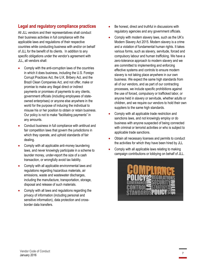#### <span id="page-6-0"></span>**Legal and regulatory compliance practices**

All JLL vendors and their representatives shall conduct their business activities in full compliance with the applicable laws and regulations of their respective countries while conducting business with and/or on behalf of JLL for the benefit of its clients. In addition to any specific obligations under the vendor's agreement with JLL, all vendors shall:

- Comply with the anti-corruption laws of the countries in which it does business, including the U.S. Foreign Corrupt Practices Act, the U.K. Bribery Act, and the Brazil Clean Companies Act, and not offer, make or promise to make any illegal direct or indirect payments or promises of payments to any clients, government officials (including employees of stateowned enterprises) or anyone else anywhere in the world for the purpose of inducing the individual to misuse his or her position to obtain or retain business. Our policy is not to make "facilitating payments" in any amounts.
- Conduct business in full compliance with antitrust and fair competition laws that govern the jurisdictions in which they operate, and uphold standards of fair dealing.
- Comply with all applicable anti-money laundering laws, and never knowingly participate in a scheme to launder money, under-report the size of a cash transaction, or wrongfully avoid tax liability.
- Comply with all applicable environmental laws and regulations regarding hazardous materials, air emissions, waste and wastewater discharges, including the manufacture, transportation, storage, disposal and release of such materials.
- Comply with all laws and regulations regarding the privacy of information (including personal and sensitive information), data protection and crossborder data transfers.
- Be honest, direct and truthful in discussions with regulatory agencies and any government officials.
- Comply with modern slavery laws, such as the UK's Modern Slavery Act 2015. Modern slavery is a crime and a violation of fundamental human rights. It takes various forms, such as slavery, servitude, forced and compulsory labour and human trafficking. We have a zero-tolerance approach to modern slavery and we are committed to implementing and enforcing effective systems and controls to ensure modern slavery is not taking place anywhere in our own business. We expect the same high standards from all of our vendors, and as part of our contracting processes, we include specific prohibitions against the use of forced, compulsory or trafficked labor, or anyone held in slavery or servitude, whether adults or children, and we require our vendors to hold their own suppliers to the same high standards.
- Comply with all applicable trade restriction and sanctions laws, and not knowingly employ or do business with anyone suspected of being connected with criminal or terrorist activities or who is subject to applicable trade sanctions.
- Obtain all necessary licenses and permits to conduct the activities for which they have been hired by JLL
- Comply with all applicable laws relating to making campaign contributions or lobbying on behalf of JLL.

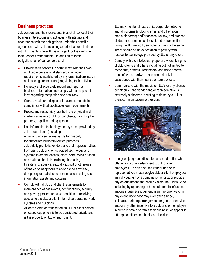#### <span id="page-7-0"></span>**Business practices**

JLL vendors and their representatives shall conduct their business interactions and activities with integrity and in accordance with their obligations under their specific agreements with JLL, including as principal for clients, or with JLL clients where JLL is an agent for the clients in their vendor arrangements. In addition to those obligations, all of our vendors shall:

- Provide their services in compliance with their own applicable professional standards, including requirements established by any organizations (such as licensing commissions) regulating their activities.
- Honestly and accurately record and report all business information and comply with all applicable laws regarding completion and accuracy.
- Create, retain and dispose of business records in compliance with all applicable legal requirements.
- Protect and responsibly use both the physical and intellectual assets of JLL or our clients, including their property, supplies and equipment.
- Use information technology and systems provided by JLL or our clients (including email and any social media platforms) only for authorized business-related purposes. JLL strictly prohibits vendors and their representatives from using JLL or client-provided technology and systems to create, access, store, print, solicit or send any material that is intimidating, harassing, threatening, abusive, sexually explicit or otherwise offensive or inappropriate and/or send any false, derogatory or malicious communications using such information assets and systems.
- Comply with all JLL and client requirements for maintenance of passwords, confidentiality, security and privacy procedures as a condition of receiving access to the JLL or client internal corporate network, systems and buildings.

All data stored or transmitted on JLL or client owned or leased equipment is to be considered private and is the property of JLL or such client.

JLL may monitor all uses of its corporate networks and all systems (including email and other social media platforms) and/or access, review, and process all data and communications stored or transmitted using the JLL network, and clients may do the same. There should be no expectation of privacy with respect to technology provided by JLL or any client.

- Comply with the intellectual property ownership rights of JLL, clients and others including but not limited to copyrights, patents, trademarks, and trade secrets. Use software, hardware, and content only in accordance with their license or terms of use.
- Communicate with the media on JLL's or any client's behalf only if the vendor and/or representative is expressly authorized in writing to do so by a JLL or client communications professional.



Use good judgment, discretion and moderation when offering gifts or entertainment to JLL or client employees. In doing so, the vendor and or its representatives must not give JLL or client employees an individual gift or a combination of gifts, or provide any entertainment, that would violate the Ethics Code, including by appearing to be an attempt to influence anyone's business judgment in an improper way. In any event, no vendor may ever offer a bribe, kickback, bartering arrangement for goods or services and/or any other incentive to a JLL or client employee in order to obtain or retain their business, or appear to attempt to influence a business decision.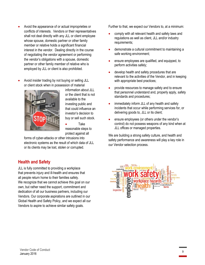- Avoid the appearance of or actual improprieties or conflicts of interests. Vendors or their representatives shall not deal directly with any JLL or client employee whose spouse, domestic partner or other family member or relative holds a significant financial interest in the vendor. Dealing directly in the course of negotiating the vendor agreement or performing the vendor's obligations with a spouse, domestic partner or other family member of relative who is employed by JLL or client is also prohibited.
- Avoid insider trading by not buying or selling JLL or client stock when in possession of material



information about JLL or the client that is not available to the investing public and that could influence an investor's decision to buy or sell such stock.

• Take reasonable steps to protect against all

forms of cyber-attacks or other intrusions into electronic systems as the result of which data of JLL or its clients may be lost, stolen or corrupted.

#### <span id="page-8-0"></span>**Health and Safety**

JLL is fully committed to providing a workplace that prevents injury and ill-health and ensures that all people return home to their families safely. We recognize that we cannot achieve this goal on our own, but rather need the support, commitment and dedication of all our business partners, including our Vendors. Our corporate aspirations are outlined in our Global Health and Safety Policy, and we expect all our Vendors to aspire to achieve similar safety goals.

Further to that, we expect our Vendors to, at a minimum:

- comply with all relevant health and safety laws and regulations as well as client, JLL and/or industry requirements;
- demonstrate a cultural commitment to maintaining a safe working environment;
- ensure employees are qualified, and equipped, to perform activities safely;
- develop health and safety procedures that are relevant to the activities of the Vendor, and in keeping with appropriate best practices;
- provide resources to manage safety and to ensure that personnel understand and, properly apply, safety standards and procedures;
- immediately inform JLL of any health and safety incidents that occur while performing services for, or delivering goods to, JLL or its client;
- ensure employees (or others under the vendor's control) do not possess weapons of any kind when at JLL offices or managed properties.

We are building a strong safety culture, and health and safety performance and awareness will play a key role in our Vendor selection process.

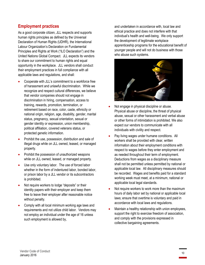#### <span id="page-9-0"></span>**Employment practices**

As a good corporate citizen, JLL respects and supports human rights principles as defined by the Universal Declaration of Human Rights (UDHR), the International Labour Organization's Declaration on Fundamental Principles and Rights at Work ("ILO Declaration") and the United Nations Global Compact. JLL expects its vendors to share our commitment to human rights and equal opportunity in the workplace. JLL vendors shall conduct their employment practices in full compliance with all applicable laws and regulations, and shall:

- Cooperate with JLL's commitment to a workforce free of harassment and unlawful discrimination. While we recognize and respect cultural differences, we believe that vendor companies should not engage in discrimination in hiring, compensation, access to training, rewards, promotion, termination, or retirement based on race, color, caste, ethnicity or national origin, religion, age, disability, gender, marital status, pregnancy, sexual orientation, sexual or gender identity or expression, union membership, political affiliation, covered veterans status, or protected genetic information.
- Prohibit the use, possession, distribution and sale of illegal drugs while on JLL owned, leased, or managed property.
- Prohibit the possession of unauthorized weapons while on JLL owned, leased, or managed property.
- Use only voluntary labor. The use of forced labor whether in the form of indentured labor, bonded labor, or prison labor by a JLL vendor or its subcontractors is prohibited.
- Not require workers to lodge "deposits" or their identity papers with their employer and keep them free to leave their employer after reasonable notice without penalty.
- Comply with all local minimum working age laws and requirements and not utilize child labor. Vendors may not employ an individual under the age of 16 unless such employment is allowed by,

and undertaken in accordance with, local law and ethical practice and does not interfere with that individual's health and well-being. We only support the development of legitimate workplace apprenticeship programs for the educational benefit of younger people and will not do business with those who abuse such systems.



- Not engage in physical discipline or abuse. Physical abuse or discipline, the threat of physical abuse, sexual or other harassment and verbal abuse or other forms of intimidation is prohibited. We also expect our vendors to communicate with all individuals with civility and respect.
- Pay living wages under humane conditions. All workers shall be provided with clear, written information about their employment conditions with respect to wages before they enter employment and as needed throughout their term of employment. Deductions from wages as a disciplinary measure shall not be permitted unless permitted by national or applicable local law. All disciplinary measures should be recorded. Wages and benefits paid for a standard working week must meet, at a minimum, national or applicable local legal standards.
- Not require workers to work more than the maximum hours of daily labor set by national or applicable local laws; ensure that overtime is voluntary and paid in accordance with local laws and regulations.
- Maintain a healthy relationship with union employees, support the right to exercise freedom of association, and comply with the provisions expressed in collective bargaining agreements.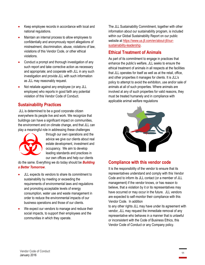- Keep employee records in accordance with local and national regulations.
- Maintain an internal process to allow employees to confidentially and anonymously report allegations of mistreatment, discrimination, abuse, violations of law, violations of this Vendor Code, or other ethical violations.
- Conduct a prompt and thorough investigation of any such report and take corrective action as necessary and appropriate; and cooperate with JLL in any such investigation and provide JLL with such information as JLL may reasonably request.
- Not retaliate against any employee (or any JLL employee) who reports in good faith any potential violation of this Vendor Code of Conduct.

#### <span id="page-10-0"></span>**Sustainability Practices**

JLL is determined to be a good corporate citizen everywhere its people live and work. We recognize that buildings can have a significant impact on communities, the environment and on climate change, and that JLL can play a meaningful role in addressing these challenges



through our own operations and the advice we give our clients about real estate development, investment and occupancy. We aim to develop leading standards and practices in our own offices and help our clients

do the same. Everything we do today should be *Building a Better Tomorrow*.

- JLL expects its vendors to share its commitment to sustainability by meeting or exceeding the requirements of environmental laws and regulations and promoting acceptable levels of energy consumption, water use and waste management in order to reduce the environmental impacts of our business operations and those of our clients.
- We expect our vendors to manage and reduce their social impacts, to support their employees and the communities in which they operate.

The JLL Sustainability Commitment, together with other information about our sustainability program, is included within our Global Sustainability Report on our public website at [https://www.us.jll.com/en/about-jll/our](https://www.us.jll.com/en/about-jll/our-sustainability-leadership)[sustainability-leadership.](https://www.us.jll.com/en/about-jll/our-sustainability-leadership)

#### <span id="page-10-1"></span>**Ethical Treatment of Animals**

As part of its commitment to engage in practices that enhance the public's welfare, JLL seeks to ensure the ethical treatment of animals in all respects at the facilities that JLL operates for itself as well as at the retail, office, and other properties it manages for clients. It is JLL's policy to attempt to avoid the exhibition, use and/or sale of animals at all of such properties. Where animals are involved at any of such properties for valid reasons, they must be treated humanely and in compliance with applicable animal welfare regulations



#### <span id="page-10-2"></span>**Compliance with this vendor code**

It is the responsibility of the vendor to ensure that its representatives understand and comply with this Vendor Code and to inform its JLL contact (or a member of JLL management) if the vendor knows, or has reason to believe, that a violation by it or its representatives may have occurred or may occur in the future. JLL vendors are expected to self-monitor their compliance with this Vendor Code. In addition

to any other rights JLL may have under its agreement with vendor, JLL may request the immediate removal of any representative who behaves in a manner that is unlawful or inconsistent with the Code of Business Ethics, this Vendor Code of Conduct or any Company policy.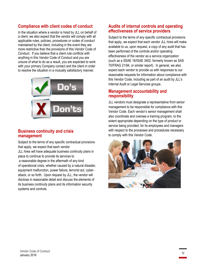#### <span id="page-11-0"></span>**Compliance with client codes of conduct**

In the situation where a vendor is hired by JLL on behalf of a client, we also expect that the vendor will comply with all applicable rules, policies, procedures or codes of conduct maintained by the client, including in the event they are more restrictive than the provisions of this Vendor Code of Conduct. If you believe that a client rule conflicts with anything in this Vendor Code of Conduct and you are unsure of what to do as a result, you are expected to work with your primary Company contact and the client in order to resolve the situation in a mutually satisfactory manner.



#### <span id="page-11-1"></span>**Business continuity and crisis management**

Subject to the terms of any specific contractual provisions that apply, we expect that each vendor

JLL hires will have adequate business continuity plans in place to continue to provide its services to a reasonable degree in the aftermath of any kind of operational crisis, whether caused by a natural disaster, equipment malfunction, power failure, terrorist act, cyberattack, or so forth. Upon request by JLL, the vendor will disclose in reasonable detail and discuss the elements of its business continuity plans and its information security systems and controls.

#### <span id="page-11-2"></span>**Audits of internal controls and operating effectiveness of service providers**

Subject to the terms of any specific contractual provisions that apply, we expect that each vendor JLL hires will make available to us, upon request, a copy of any audit that has been performed of the controls and/or operating effectiveness of the vendor as a service organization (such as a SSAE 16/ISAE 3402, formerly known as SAS 70/FRAG 21/94, or similar report). In general, we also expect each vendor to provide us with responses to our reasonable requests for information about compliance with this Vendor Code, including as part of an audit by JLL's Internal Audit or Legal Services groups.

#### <span id="page-11-3"></span>**Management accountability and responsibility**

JLL vendors must designate a representative from senior management to be responsible for compliance with this Vendor Code. Each vendor's senior management shall also coordinate and oversee a training program, to the extent appropriate depending on the type of product or service being provided, for its employees and managers with respect to the processes and procedures necessary to comply with this Vendor Code.

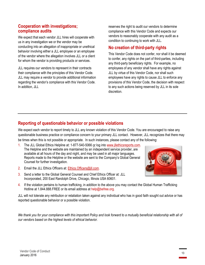#### <span id="page-12-0"></span>**Cooperation with investigations; compliance audits**

We expect that each vendor JLL hires will cooperate with us in any investigation we or the vendor may be conducting into an allegation of inappropriate or unethical behavior involving either a JLL employee or an employee of the vendor where the allegation involves JLL or a client for whom the vendor is providing products or services.

JLL requires our vendors to represent in their contracts their compliance with the principles of this Vendor Code. JLL may require a vendor to provide additional information regarding the vendor's compliance with this Vendor Code. In addition, JLL

reserves the right to audit our vendors to determine compliance with this Vendor Code and expects our vendors to reasonably cooperate with any audit as a condition to continuing to work with JLL.

#### <span id="page-12-1"></span>**No creation of third-party rights**

This Vendor Code does not confer, nor shall it be deemed to confer, any rights on the part of third-parties, including any third-party beneficiary rights. For example, no employees of any vendor shall have any rights against JLL by virtue of this Vendor Code, nor shall such employees have any rights to cause JLL to enforce any provisions of this Vendor Code, the decision with respect to any such actions being reserved by JLL in its sole discretion.

### <span id="page-12-2"></span>**Reporting of questionable behavior or possible violations**

We expect each vendor to report timely to JLL any known violation of this Vendor Code. You are encouraged to raise any questionable business practice or compliance concern to your primary JLL contact. However, JLL recognizes that there may be times when this is not possible or appropriate. In such instances, please contact any of the following:

- 1. The JLL Global Ethics Helpline at: 1-877-540-5066 or log into [www.jllethicsreports.com.](http://www.jllethicsreports.com/) The Helpline and the website are maintained by an independent service provider, are available at all hours of the day and night, and may be used in all major languages. Reports made to the Helpline or the website are sent to the Company's Global General Counsel for further investigation.
- 2. Email the JLL Ethics Officers at: [Ethics.Officers@jll.com.](mailto:ethics.officers@jll.com)
- 3. Send a letter to the Global General Counsel and Chief Ethics Officer at: JLL Incorporated, 200 East Randolph Drive, Chicago, Illinois USA 60601.
- 4. If the violation pertains to human trafficking, in addition to the above you may contact the Global Human Trafficking Hotline at 1.844.888. FREE or its email address at help@befree.org.

JLL will not tolerate any retribution or retaliation taken against any individual who has in good faith sought out advice or has reported questionable behavior or a possible violation.

*We thank you for your compliance with this important Policy and look forward to a mutually beneficial relationship with all of our vendors based on the highest levels of ethical behavior.*